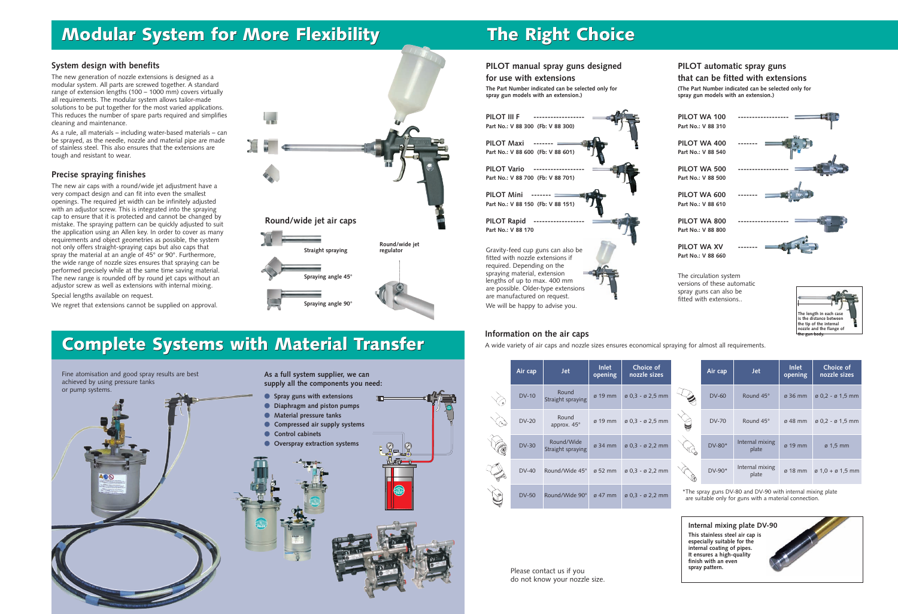**PILOT WA 100 ------------------ Part No.: V 88 310**

**PILOT WA 400 Part No.: V 88 540**

**PILOT WA 500 Part No.: V 88 500**

**PILOT WA 600 Part No.: V 88 610**

**PILOT WA 800 Part No.: V 88 800**

**PILOT WA XV Part No.: V 88 660**

The circulation system versions of these automatic spray guns can also be fitted with extensions..

**Complete Systems with Material Transfer Complete Systems with Material Transfer**

# **Modular System for More Flexibility The Right Choice**

### **System design with benefits**

The new generation of nozzle extensions is designed as a modular system. All parts are screwed together. A standard range of extension lengths (100 – 1000 mm) covers virtually all requirements. The modular system allows tailor-made solutions to be put together for the most varied applications. This reduces the number of spare parts required and simplifies cleaning and maintenance.

As a rule, all materials – including water-based materials – can be sprayed, as the needle, nozzle and material pipe are made of stainless steel. This also ensures that the extensions are tough and resistant to wear.

### **Precise spraying finishes**

The new air caps with a round/wide jet adjustment have a very compact design and can fit into even the smallest openings. The required jet width can be infinitely adjusted with an adjustor screw. This is integrated into the spraying cap to ensure that it is protected and cannot be changed by mistake. The spraying pattern can be quickly adjusted to suit the application using an Allen key. In order to cover as many requirements and object geometries as possible, the system not only offers straight-spraying caps but also caps that spray the material at an angle of 45° or 90°. Furthermore, the wide range of nozzle sizes ensures that spraying can be performed precisely while at the same time saving material. The new range is rounded off by round jet caps without an adjustor screw as well as extensions with internal mixing.

Special lengths available on request.

We regret that extensions cannot be supplied on approval.

| Fine atomisation and good spray results are best<br>achieved by using pressure tanks<br>or pump systems. | As a full system supplier, we can<br>supply all the components you need:                                                                                                        |
|----------------------------------------------------------------------------------------------------------|---------------------------------------------------------------------------------------------------------------------------------------------------------------------------------|
|                                                                                                          | Spray guns with extensions<br>Diaphragm and piston pumps<br>Material pressure tanks<br>Compressed air supply systems<br><b>Control cabinets</b><br>Overspray extraction systems |
| AO®                                                                                                      | 0<br>體                                                                                                                                                                          |
|                                                                                                          |                                                                                                                                                                                 |



## **PILOT manual spray guns designed**

### **for use with extensions**

**The Part Number indicated can be selected only for spray gun models with an extension.)**

### **PILOT automatic spray guns that can be fitted with extensions**

**(The Part Number indicated can be selected only for spray gun models with an extension.)**



### We will be happy to advise you.

DV-50 Round/Wide 90° ø 47 mm ø 0,3 - ø 2,2 mm

| Air cap      | <b>Jet</b>                      | <b>Inlet</b><br>opening | Choice of<br>nozzle sizes            |   | Air cap      | <b>Jet</b>               | <b>Inlet</b><br>opening | Choice of<br>nozzle sizes                |
|--------------|---------------------------------|-------------------------|--------------------------------------|---|--------------|--------------------------|-------------------------|------------------------------------------|
| <b>DV-10</b> | Round<br>Straight spraying      | $\varnothing$ 19 mm     | ø 0,3 - ø 2,5 mm                     |   | <b>DV-60</b> | Round 45°                | $\varnothing$ 36 mm     | $\emptyset$ 0.2 - $\emptyset$ 1.5 mm     |
| <b>DV-20</b> | Round<br>approx. 45°            | ø 19 mm                 | ø 0,3 - ø 2,5 mm                     | U | <b>DV-70</b> | Round 45°                | $\sigma$ 48 mm          | $\varnothing$ 0,2 - $\varnothing$ 1,5 mm |
| <b>DV-30</b> | Round/Wide<br>Straight spraying | $\varnothing$ 34 mm     | ø 0,3 - ø 2,2 mm                     |   | $DV-80*$     | Internal mixing<br>plate | $\sigma$ 19 mm          | $\varnothing$ 1.5 mm                     |
| <b>DV-40</b> | Round/Wide 45°                  | ø 52 mm                 | $\emptyset$ 0.3 - $\emptyset$ 2.2 mm |   | DV-90*       | Internal mixing<br>plate | $\sigma$ 18 mm          | $\varnothing$ 1.0 + $\varnothing$ 1.5 mm |

### **Information on the air caps**

 $\begin{matrix} \diagup \ \diagdown \ \genfrac{}{}{0pt}{}{\rightarrow} \end{matrix}$ 

 $\bigotimes$ 

A wide variety of air caps and nozzle sizes ensures economical spraying for almost all requirements.

> \*The spray guns DV-80 and DV-90 with internal mixing plate are suitable only for guns with a material connection.

Please contact us if you do not know your nozzle size.